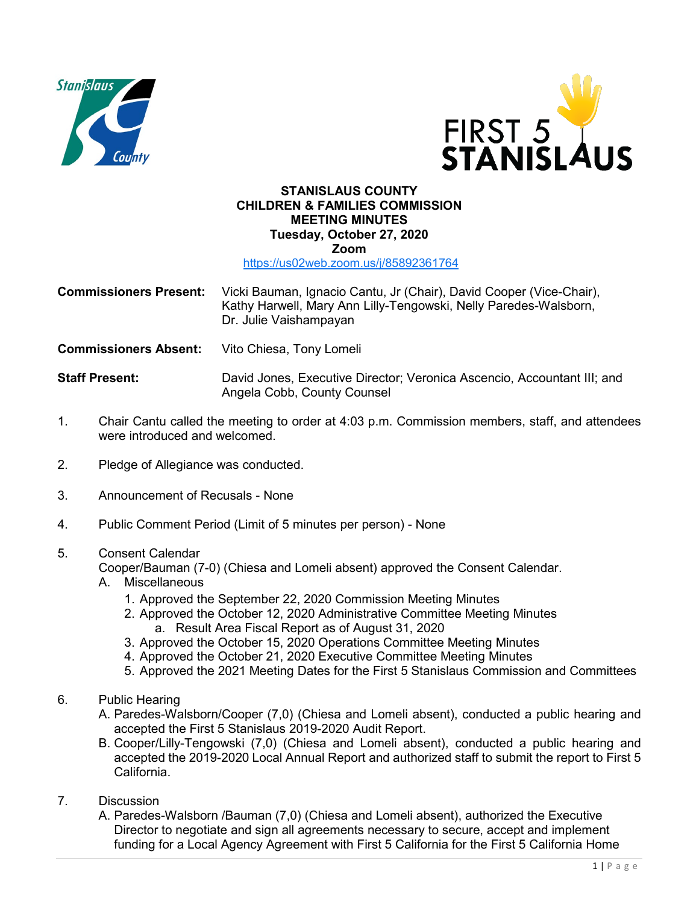



## **STANISLAUS COUNTY CHILDREN & FAMILIES COMMISSION MEETING MINUTES Tuesday, October 27, 2020 Zoom**

<https://us02web.zoom.us/j/85892361764>

- **Commissioners Present:** Vicki Bauman, Ignacio Cantu, Jr (Chair), David Cooper (Vice-Chair), Kathy Harwell, Mary Ann Lilly-Tengowski, Nelly Paredes-Walsborn, Dr. Julie Vaishampayan
- **Commissioners Absent:** Vito Chiesa, Tony Lomeli

**Staff Present:** David Jones, Executive Director; Veronica Ascencio, Accountant III; and Angela Cobb, County Counsel

- 1. Chair Cantu called the meeting to order at 4:03 p.m. Commission members, staff, and attendees were introduced and welcomed
- 2. Pledge of Allegiance was conducted.
- 3. Announcement of Recusals None
- 4. Public Comment Period (Limit of 5 minutes per person) None

## 5. Consent Calendar

Cooper/Bauman (7-0) (Chiesa and Lomeli absent) approved the Consent Calendar.

- A. Miscellaneous
	- 1. Approved the September 22, 2020 Commission Meeting Minutes
	- 2. Approved the October 12, 2020 Administrative Committee Meeting Minutes a. Result Area Fiscal Report as of August 31, 2020
	- 3. Approved the October 15, 2020 Operations Committee Meeting Minutes
	- 4. Approved the October 21, 2020 Executive Committee Meeting Minutes
	- 5. Approved the 2021 Meeting Dates for the First 5 Stanislaus Commission and Committees
- 6. Public Hearing
	- A. Paredes-Walsborn/Cooper (7,0) (Chiesa and Lomeli absent), conducted a public hearing and accepted the First 5 Stanislaus 2019-2020 Audit Report.
	- B. Cooper/Lilly-Tengowski (7,0) (Chiesa and Lomeli absent), conducted a public hearing and accepted the 2019-2020 Local Annual Report and authorized staff to submit the report to First 5 California.
- 7. Discussion
	- A. Paredes-Walsborn /Bauman (7,0) (Chiesa and Lomeli absent), authorized the Executive Director to negotiate and sign all agreements necessary to secure, accept and implement funding for a Local Agency Agreement with First 5 California for the First 5 California Home